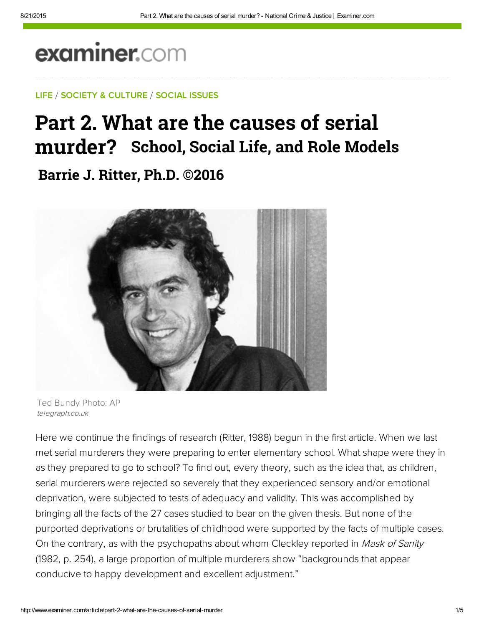# examiner.com

### LIFE / SOCIETY & CULTURE / SOCIAL ISSUES

# Part 2. What are the causes of serial murder? **School, Social Life, and Role Models**

**Barrie J. Ritter, Ph.D. ©2016**



Ted Bundy Photo: AP telegraph.co.uk

Here we continue the findings of research (Ritter, 1988) begun in the first article. When we last met serial murderers they were preparing to enter elementary school. What shape were they in as they prepared to go to school? To find out, every theory, such as the idea that, as children, serial murderers were rejected so severely that they experienced sensory and/or emotional deprivation, were subjected to tests of adequacy and validity. This was accomplished by bringing all the facts of the 27 cases studied to bear on the given thesis. But none of the purported deprivations or brutalities of childhood were supported by the facts of multiple cases. On the contrary, as with the psychopaths about whom Cleckley reported in Mask of Sanity (1982, p. 254), a large proportion of multiple murderers show "backgrounds that appear conducive to happy development and excellent adjustment."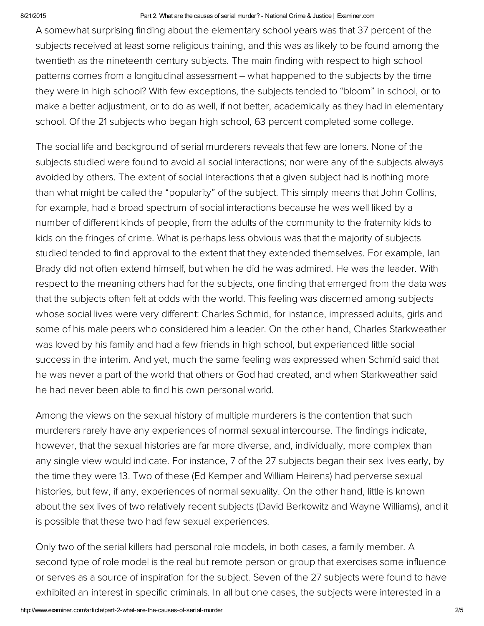#### 8/21/2015 Part 2. What are the causes of serial murder? National Crime & Justice | Examiner.com

A somewhat surprising finding about the elementary school years was that 37 percent of the subjects received at least some religious training, and this was as likely to be found among the twentieth as the nineteenth century subjects. The main finding with respect to high school patterns comes from a longitudinal assessment – what happened to the subjects by the time they were in high school? With few exceptions, the subjects tended to "bloom" in school, or to make a better adjustment, or to do as well, if not better, academically as they had in elementary school. Of the 21 subjects who began high school, 63 percent completed some college.

The social life and background of serial murderers reveals that few are loners. None of the subjects studied were found to avoid all social interactions; nor were any of the subjects always avoided by others. The extent of social interactions that a given subject had is nothing more than what might be called the "popularity" of the subject. This simply means that John Collins, for example, had a broad spectrum of social interactions because he was well liked by a number of different kinds of people, from the adults of the community to the fraternity kids to kids on the fringes of crime. What is perhaps less obvious was that the majority of subjects studied tended to find approval to the extent that they extended themselves. For example, Ian Brady did not often extend himself, but when he did he was admired. He was the leader. With respect to the meaning others had for the subjects, one finding that emerged from the data was that the subjects often felt at odds with the world. This feeling was discerned among subjects whose social lives were very different: Charles Schmid, for instance, impressed adults, girls and some of his male peers who considered him a leader. On the other hand, Charles Starkweather was loved by his family and had a few friends in high school, but experienced little social success in the interim. And yet, much the same feeling was expressed when Schmid said that he was never a part of the world that others or God had created, and when Starkweather said he had never been able to find his own personal world.

Among the views on the sexual history of multiple murderers is the contention that such murderers rarely have any experiences of normal sexual intercourse. The findings indicate, however, that the sexual histories are far more diverse, and, individually, more complex than any single view would indicate. For instance, 7 of the 27 subjects began their sex lives early, by the time they were 13. Two of these (Ed Kemper and William Heirens) had perverse sexual histories, but few, if any, experiences of normal sexuality. On the other hand, little is known about the sex lives of two relatively recent subjects (David Berkowitz and Wayne Williams), and it is possible that these two had few sexual experiences.

Only two of the serial killers had personal role models, in both cases, a family member. A second type of role model is the real but remote person or group that exercises some influence or serves as a source of inspiration for the subject. Seven of the 27 subjects were found to have exhibited an interest in specific criminals. In all but one cases, the subjects were interested in a